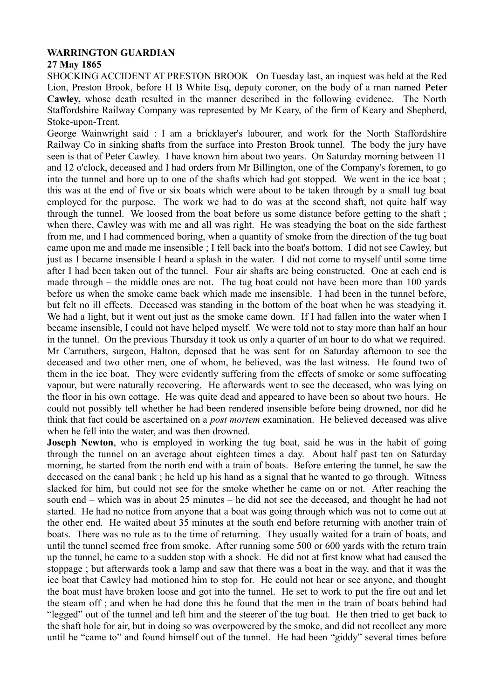## **WARRINGTON GUARDIAN**

## **27 May 1865**

SHOCKING ACCIDENT AT PRESTON BROOK On Tuesday last, an inquest was held at the Red Lion, Preston Brook, before H B White Esq, deputy coroner, on the body of a man named **Peter Cawley,** whose death resulted in the manner described in the following evidence. The North Staffordshire Railway Company was represented by Mr Keary, of the firm of Keary and Shepherd, Stoke-upon-Trent.

George Wainwright said : I am a bricklayer's labourer, and work for the North Staffordshire Railway Co in sinking shafts from the surface into Preston Brook tunnel. The body the jury have seen is that of Peter Cawley. I have known him about two years. On Saturday morning between 11 and 12 o'clock, deceased and I had orders from Mr Billington, one of the Company's foremen, to go into the tunnel and bore up to one of the shafts which had got stopped. We went in the ice boat ; this was at the end of five or six boats which were about to be taken through by a small tug boat employed for the purpose. The work we had to do was at the second shaft, not quite half way through the tunnel. We loosed from the boat before us some distance before getting to the shaft ; when there, Cawley was with me and all was right. He was steadying the boat on the side farthest from me, and I had commenced boring, when a quantity of smoke from the direction of the tug boat came upon me and made me insensible ; I fell back into the boat's bottom. I did not see Cawley, but just as I became insensible I heard a splash in the water. I did not come to myself until some time after I had been taken out of the tunnel. Four air shafts are being constructed. One at each end is made through – the middle ones are not. The tug boat could not have been more than 100 yards before us when the smoke came back which made me insensible. I had been in the tunnel before, but felt no ill effects. Deceased was standing in the bottom of the boat when he was steadying it. We had a light, but it went out just as the smoke came down. If I had fallen into the water when I became insensible, I could not have helped myself. We were told not to stay more than half an hour in the tunnel. On the previous Thursday it took us only a quarter of an hour to do what we required. Mr Carruthers, surgeon, Halton, deposed that he was sent for on Saturday afternoon to see the deceased and two other men, one of whom, he believed, was the last witness. He found two of them in the ice boat. They were evidently suffering from the effects of smoke or some suffocating vapour, but were naturally recovering. He afterwards went to see the deceased, who was lying on the floor in his own cottage. He was quite dead and appeared to have been so about two hours. He could not possibly tell whether he had been rendered insensible before being drowned, nor did he think that fact could be ascertained on a *post mortem* examination. He believed deceased was alive when he fell into the water, and was then drowned.

**Joseph Newton**, who is employed in working the tug boat, said he was in the habit of going through the tunnel on an average about eighteen times a day. About half past ten on Saturday morning, he started from the north end with a train of boats. Before entering the tunnel, he saw the deceased on the canal bank ; he held up his hand as a signal that he wanted to go through. Witness slacked for him, but could not see for the smoke whether he came on or not. After reaching the south end – which was in about 25 minutes – he did not see the deceased, and thought he had not started. He had no notice from anyone that a boat was going through which was not to come out at the other end. He waited about 35 minutes at the south end before returning with another train of boats. There was no rule as to the time of returning. They usually waited for a train of boats, and until the tunnel seemed free from smoke. After running some 500 or 600 yards with the return train up the tunnel, he came to a sudden stop with a shock. He did not at first know what had caused the stoppage ; but afterwards took a lamp and saw that there was a boat in the way, and that it was the ice boat that Cawley had motioned him to stop for. He could not hear or see anyone, and thought the boat must have broken loose and got into the tunnel. He set to work to put the fire out and let the steam off ; and when he had done this he found that the men in the train of boats behind had "legged" out of the tunnel and left him and the steerer of the tug boat. He then tried to get back to the shaft hole for air, but in doing so was overpowered by the smoke, and did not recollect any more until he "came to" and found himself out of the tunnel. He had been "giddy" several times before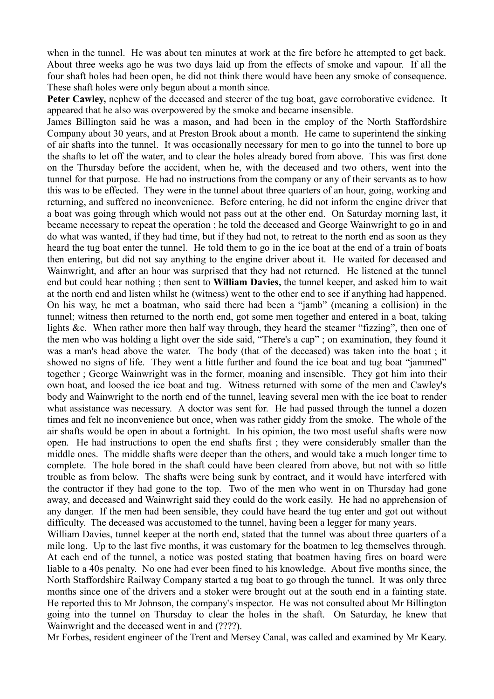when in the tunnel. He was about ten minutes at work at the fire before he attempted to get back. About three weeks ago he was two days laid up from the effects of smoke and vapour. If all the four shaft holes had been open, he did not think there would have been any smoke of consequence. These shaft holes were only begun about a month since.

**Peter Cawley,** nephew of the deceased and steerer of the tug boat, gave corroborative evidence. It appeared that he also was overpowered by the smoke and became insensible.

James Billington said he was a mason, and had been in the employ of the North Staffordshire Company about 30 years, and at Preston Brook about a month. He came to superintend the sinking of air shafts into the tunnel. It was occasionally necessary for men to go into the tunnel to bore up the shafts to let off the water, and to clear the holes already bored from above. This was first done on the Thursday before the accident, when he, with the deceased and two others, went into the tunnel for that purpose. He had no instructions from the company or any of their servants as to how this was to be effected. They were in the tunnel about three quarters of an hour, going, working and returning, and suffered no inconvenience. Before entering, he did not inform the engine driver that a boat was going through which would not pass out at the other end. On Saturday morning last, it became necessary to repeat the operation ; he told the deceased and George Wainwright to go in and do what was wanted, if they had time, but if they had not, to retreat to the north end as soon as they heard the tug boat enter the tunnel. He told them to go in the ice boat at the end of a train of boats then entering, but did not say anything to the engine driver about it. He waited for deceased and Wainwright, and after an hour was surprised that they had not returned. He listened at the tunnel end but could hear nothing ; then sent to **William Davies,** the tunnel keeper, and asked him to wait at the north end and listen whilst he (witness) went to the other end to see if anything had happened. On his way, he met a boatman, who said there had been a "jamb" (meaning a collision) in the tunnel; witness then returned to the north end, got some men together and entered in a boat, taking lights &c. When rather more then half way through, they heard the steamer "fizzing", then one of the men who was holding a light over the side said, "There's a cap" ; on examination, they found it was a man's head above the water. The body (that of the deceased) was taken into the boat ; it showed no signs of life. They went a little further and found the ice boat and tug boat "jammed" together ; George Wainwright was in the former, moaning and insensible. They got him into their own boat, and loosed the ice boat and tug. Witness returned with some of the men and Cawley's body and Wainwright to the north end of the tunnel, leaving several men with the ice boat to render what assistance was necessary. A doctor was sent for. He had passed through the tunnel a dozen times and felt no inconvenience but once, when was rather giddy from the smoke. The whole of the air shafts would be open in about a fortnight. In his opinion, the two most useful shafts were now open. He had instructions to open the end shafts first ; they were considerably smaller than the middle ones. The middle shafts were deeper than the others, and would take a much longer time to complete. The hole bored in the shaft could have been cleared from above, but not with so little trouble as from below. The shafts were being sunk by contract, and it would have interfered with the contractor if they had gone to the top. Two of the men who went in on Thursday had gone away, and deceased and Wainwright said they could do the work easily. He had no apprehension of any danger. If the men had been sensible, they could have heard the tug enter and got out without difficulty. The deceased was accustomed to the tunnel, having been a legger for many years.

William Davies, tunnel keeper at the north end, stated that the tunnel was about three quarters of a mile long. Up to the last five months, it was customary for the boatmen to leg themselves through. At each end of the tunnel, a notice was posted stating that boatmen having fires on board were liable to a 40s penalty. No one had ever been fined to his knowledge. About five months since, the North Staffordshire Railway Company started a tug boat to go through the tunnel. It was only three months since one of the drivers and a stoker were brought out at the south end in a fainting state. He reported this to Mr Johnson, the company's inspector. He was not consulted about Mr Billington going into the tunnel on Thursday to clear the holes in the shaft. On Saturday, he knew that Wainwright and the deceased went in and (????).

Mr Forbes, resident engineer of the Trent and Mersey Canal, was called and examined by Mr Keary.